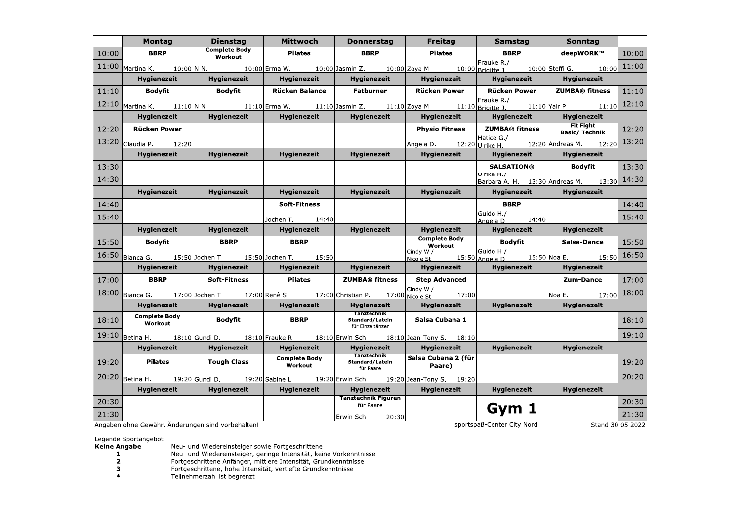|       | <b>Montag</b>                                                                                                       | <b>Dienstag</b>                 | <b>Mittwoch</b>                 | <b>Donnerstag</b>                                  | <b>Freitag</b>                                    | Samstag                         | <b>Sonntag</b>                                                 |       |
|-------|---------------------------------------------------------------------------------------------------------------------|---------------------------------|---------------------------------|----------------------------------------------------|---------------------------------------------------|---------------------------------|----------------------------------------------------------------|-------|
| 10:00 | <b>BBRP</b>                                                                                                         | <b>Complete Body</b><br>Workout | Pilates                         | <b>BBRP</b>                                        | Pilates                                           | <b>BBRP</b>                     | deepWORK™                                                      | 10:00 |
| 11:00 | Martina K. 10:00 N.N. 10:00 Erma W. 10:00 Jasmin Z. 10:00 Zoya M. 10:00 Brigitte J. 10:00 Steffi G. 10:00           |                                 |                                 |                                                    |                                                   | Frauke R./                      |                                                                | 11:00 |
|       | <b>Hygienezeit</b>                                                                                                  | <b>Hygienezeit</b>              | Hygienezeit                     |                                                    | Hygienezeit   Hygienezeit   Hygienezeit           |                                 | <b>Hygienezeit</b>                                             |       |
| 11:10 | Bodyfit                                                                                                             | Bodyfit                         | Rücken Balance                  | Fatburner                                          | Rücken Power                                      | Rücken Power   ZUMBA® fitness   |                                                                | 11:10 |
|       | 12:10 Martina K. 11:10 N.N. 11:10 Erma W. 11:10 Jasmin Z. 11:10 Zoya M. 11:10 Brigitte J. 11:10 Yair P. 11:10 12:10 |                                 |                                 |                                                    |                                                   | Frauke R./                      |                                                                |       |
|       | <b>Hygienezeit</b>                                                                                                  | Hygienezeit                     | Hygienezeit                     | Hygienezeit                                        | Hygienezeit                                       | <b>Hygienezeit</b>              | Hygienezeit                                                    |       |
| 12:20 | Rücken Power                                                                                                        |                                 |                                 |                                                    |                                                   | Physio Fitness   ZUMBA® fitness | <b>Fit Fight</b><br>Basic/ Technik                             | 12:20 |
|       | 13:20 Claudia P. 12:20                                                                                              |                                 |                                 |                                                    |                                                   | Hatice G./                      | Angela D. $12:20$ Ulrike H. $12:20$ Andreas M. $12:20$ $13:20$ |       |
|       | Hygienezeit                                                                                                         | <b>Hygienezeit</b>              | Hygienezeit                     | Hygienezeit                                        | Hygienezeit                                       | Hygienezeit                     | Hygienezeit                                                    |       |
| 13:30 |                                                                                                                     |                                 |                                 |                                                    |                                                   | <b>SALSATION®</b>               | <b>Bodyfit</b>                                                 | 13:30 |
| 14:30 |                                                                                                                     |                                 |                                 |                                                    |                                                   | UITIKE H./                      | Barbara A.-H. $13:30$ Andreas M. $13:30$                       | 14:30 |
|       | <b>Hygienezeit</b>                                                                                                  | <b>Hygienezeit</b>              | Hygienezeit                     | Hygienezeit                                        | <b>Hygienezeit</b>                                | Hygienezeit                     | <b>Hygienezeit</b>                                             |       |
| 14:40 |                                                                                                                     |                                 | <b>Soft-Fitness</b>             |                                                    |                                                   | <b>BBRP</b>                     |                                                                | 14:40 |
| 15:40 |                                                                                                                     |                                 | Jochen T. 14:40                 |                                                    |                                                   | Guido H./<br>$Anoela D.$ 14:40  |                                                                | 15:40 |
|       | <b>Hygienezeit</b>                                                                                                  | Hygienezeit                     | Hygienezeit                     | <b>Hygienezeit</b>                                 | <b>Hygienezeit</b>                                | <b>Hygienezeit</b>              | <b>Hygienezeit</b>                                             |       |
| 15:50 | Bodyfit                                                                                                             | <b>BBRP</b>                     | <b>BBRP</b>                     |                                                    | <b>Complete Body</b><br><b>Bodyfit</b><br>Workout |                                 | Salsa-Dance                                                    | 15:50 |
| 16:50 | Bianca G. 15:50 Jochen T. 15:50 Jochen T. 15:50                                                                     |                                 |                                 |                                                    |                                                   |                                 | cindy W./ Circle 315:50 Guido H./ 15:50 Noa E. 15:50 15:50     | 16:50 |
|       | Hygienezeit                                                                                                         | <b>Hygienezeit</b>              | <b>Hygienezeit</b>              | <b>Hygienezeit</b><br>Hygienezeit                  |                                                   | Hygienezeit                     | <b>Hygienezeit</b>                                             |       |
| 17:00 | <b>BBRP</b>                                                                                                         | <b>Soft-Fitness</b>             | Pilates                         | ZUMBA® fitness                                     | <b>Step Advanced</b>                              |                                 | Zum-Dance                                                      | 17:00 |
|       | 18:00 Bianca G. 17:00 Jochen T. 17:00 Renè S. 17:00 Christian P. 17:00 Nicole St. 17:00                             |                                 |                                 |                                                    | Cindy W./                                         |                                 | Noa E. $_{17:00}$ 18:00                                        |       |
|       | <b>Hygienezeit</b>                                                                                                  | <b>Hygienezeit</b>              | <b>Hygienezeit</b>              |                                                    | Hygienezeit<br><b>Hygienezeit</b>                 |                                 | <b>Hygienezeit</b>                                             |       |
| 18:10 | <b>Complete Body</b><br>Workout                                                                                     | <b>Bodyfit</b><br><b>BBRP</b>   |                                 | Tanztechnik<br>Standard/Latein<br>für Einzeltänzer | Salsa Cubana 1                                    |                                 |                                                                | 18:10 |
| 19:10 | Betina H. 18:10 Gundi D. 18:10 Frauke R. 18:10 Erwin Sch. 18:10 Jean-Tony S. 18:10                                  |                                 |                                 |                                                    |                                                   |                                 |                                                                | 19:10 |
|       | Hygienezeit                                                                                                         | Hygienezeit                     | Hygienezeit                     | Hygienezeit                                        | Hygienezeit                                       | <b>Hygienezeit</b>              | <b>Hygienezeit</b>                                             |       |
| 19:20 | Pilates                                                                                                             | Tough Class                     | <b>Complete Body</b><br>Workout | <b>Tanztechnik</b><br>Standard/Latein              | Salsa Cubana 2 (für<br>Paare)                     |                                 |                                                                | 19:20 |
|       | 20:20 Betina H. 19:20 Gundi D. 19:20 Sabine L. 19:20 Erwin Sch. 19:20 Jean-Tony S. 19:20                            |                                 |                                 | für Paare                                          |                                                   |                                 |                                                                | 20:20 |
|       | <b>Hygienezeit</b>                                                                                                  | <b>Hygienezeit</b>              | Hygienezeit                     | Hygienezeit                                        | Hygienezeit                                       | <b>Hygienezeit</b>              | <b>Hygienezeit</b>                                             |       |
| 20:30 |                                                                                                                     |                                 |                                 | <b>Tanztechnik Figuren</b><br>für Paare            |                                                   |                                 |                                                                | 20:30 |
| 21:30 |                                                                                                                     |                                 |                                 | Erwin Sch. 20:30                                   |                                                   | Gym 1                           |                                                                | 21:30 |
|       | Angaben ohne Cewähr, Änderungen sind verhebaltent                                                                   |                                 |                                 |                                                    |                                                   | cnortcnaß-Cantar City Nord      | Stand 30 05 2022                                               |       |

Angaben ohne Gewähr. Anderungen sind vorbehalten!

sportspaß-Center City Nord

Stand 30.05.2022

Legende Sportangebot

**Keine Angabe** 

 $\blacksquare$ 

- Neu- und Wiedereinsteiger sowie Fortgeschrittene<br>Neu- und Wiedereinsteiger, geringe Intensität, keine Vorkenntnisse<br>Fortgeschrittene Anfänger, mittlere Intensität, Grundkenntnisse<br>Fortgeschrittene, hohe Intensität, vertief  $\overline{\mathbf{2}}$
- $\overline{\mathbf{3}}$
- $\ast$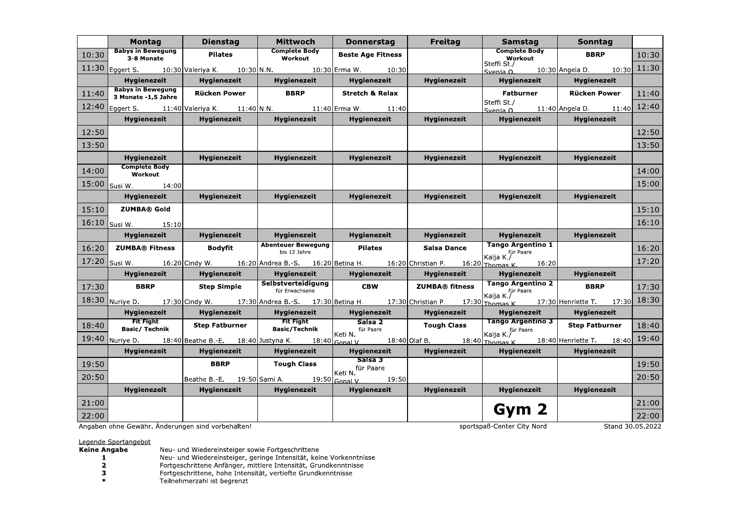|       | Montag                                                                                                   | <b>Dienstag</b>       | <b>Mittwoch</b>                                    | <b>Donnerstag</b>          | <b>Freitag</b>     | Samstag                                     | Sonntag                                                                                                                             |       |
|-------|----------------------------------------------------------------------------------------------------------|-----------------------|----------------------------------------------------|----------------------------|--------------------|---------------------------------------------|-------------------------------------------------------------------------------------------------------------------------------------|-------|
| 10:30 | <b>Babys in Bewegung</b><br>3-8 Monate                                                                   | Pilates               | <b>Complete Body</b><br>Workout                    | <b>Beste Age Fitness</b>   |                    | <b>Complete Body</b><br>Workout             | <b>BBRP</b>                                                                                                                         | 10:30 |
| 11:30 | Eggert S. 10:30 Valeriya K. 10:30 N.N. 10:30 Erma W. 10:30                                               |                       |                                                    |                            |                    | Steffi St./                                 | Svenia $0.$ 10:30 Angela D. 10:30 11:30                                                                                             |       |
|       | <b>Hygienezeit</b>                                                                                       | Hygienezeit           | <b>Hygienezeit</b>                                 | Hygienezeit                | <b>Hygienezeit</b> | <b>Hygienezeit</b>                          | <b>Hygienezeit</b>                                                                                                                  |       |
| 11:40 | <b>Babys in Bewegung</b><br>3 Monate -1,5 Jahre                                                          | <b>Rücken Power</b>   | <b>BBRP</b>                                        | <b>Stretch &amp; Relax</b> |                    |                                             | Fatburner   Rücken Power                                                                                                            | 11:40 |
|       | 12:40 Eggert S. 11:40 Valeriya K. 11:40 N.N. 11:40 Erma W. 11:40                                         |                       |                                                    |                            |                    | Steffi St./                                 | Svenia 0. 11:40 Angela D. 11:40 12:40                                                                                               |       |
|       | <b>Hygienezeit</b>                                                                                       | <b>Hygienezeit</b>    | Hygienezeit                                        | Hygienezeit                | <b>Hygienezeit</b> | <b>Hygienezeit</b>                          | <b>Hygienezeit</b>                                                                                                                  |       |
| 12:50 |                                                                                                          |                       |                                                    |                            |                    |                                             |                                                                                                                                     | 12:50 |
| 13:50 |                                                                                                          |                       |                                                    |                            |                    |                                             |                                                                                                                                     | 13:50 |
|       | <b>Hygienezeit</b>                                                                                       | <b>Hygienezeit</b>    | <b>Hygienezeit</b>                                 | <b>Hygienezeit</b>         | <b>Hygienezeit</b> | <b>Hygienezeit</b>                          | <b>Hygienezeit</b>                                                                                                                  |       |
| 14:00 | <b>Complete Body</b><br>Workout                                                                          |                       |                                                    |                            |                    |                                             |                                                                                                                                     | 14:00 |
|       | 15:00 Susi W. 14:00                                                                                      |                       |                                                    |                            |                    |                                             |                                                                                                                                     | 15:00 |
|       | <b>Hygienezeit</b>                                                                                       | <b>Hygienezeit</b>    | <b>Hygienezeit</b>                                 | <b>Hygienezeit</b>         | <b>Hygienezeit</b> | <b>Hygienezeit</b>                          | <b>Hygienezeit</b>                                                                                                                  |       |
|       | $15:10$ ZUMBA® Gold                                                                                      |                       |                                                    |                            |                    |                                             |                                                                                                                                     | 15:10 |
|       | 16:10 Susi W. 15:10                                                                                      |                       |                                                    |                            |                    |                                             |                                                                                                                                     | 16:10 |
|       | <b>Hygienezeit</b>                                                                                       | Hygienezeit           | Hygienezeit                                        | <b>Hygienezeit</b>         | Hygienezeit        | <b>Hygienezeit</b>                          | Hygienezeit                                                                                                                         |       |
|       | 16:20 ZUMBA® Fitness                                                                                     | Bodyfit               | <b>Abenteuer Bewegung</b><br>bis 12 Jahre          | Pilates                    | Salsa Dance        | Tango Argentino 1                           |                                                                                                                                     | 16:20 |
|       | 17:20 Susi W. 16:20 Cindy W. 16:20 Andrea B.-S. 16:20 Betina H. 16:20 Christian P. 16:20 Thomas K. 16:20 |                       |                                                    |                            |                    | Kaija K./                                   |                                                                                                                                     | 17:20 |
|       | Hygienezeit                                                                                              | <b>Hygienezeit</b>    | Hygienezeit                                        | <b>Hygienezeit</b>         | Hygienezeit        | Hygienezeit                                 | Hygienezeit                                                                                                                         |       |
| 17:30 | <b>BBRP</b>                                                                                              | Step Simple           | Selbstverteidigung<br>für Erwachsene               | <b>CBW</b>                 | ZUMBA® fitness     | Tango Argentino 2<br>Kaija K./<br>Kaija K./ | <b>BBRP</b>                                                                                                                         | 17:30 |
|       |                                                                                                          |                       |                                                    |                            |                    |                                             | 18:30 Nuriye D. 17:30 Cindy W. 17:30 Andrea B.-S. 17:30 Betina H. 17:30 Christian P. 17:30 Thomas K. 17:30 Henriette T. 17:30 18:30 |       |
|       | Hygienezeit                                                                                              | <b>Hygienezeit</b>    |                                                    | Hygienezeit   Hygienezeit  | <b>Hygienezeit</b> | <b>Hygienezeit</b>                          | Hygienezeit                                                                                                                         |       |
| 18:40 | <b>Fit Fight</b><br>Basic/ Technik                                                                       | <b>Step Fatburner</b> | <b>Fit Fight</b><br>Basic/Technik                  | Salsa 2<br>für Paare       | <b>Tough Class</b> | Tango Argentino 3 Step Fatburner            |                                                                                                                                     | 18:40 |
|       |                                                                                                          |                       |                                                    | Keti N.                    |                    | Kaija K./ <sup>für Paare</sup>              | 19:40 Nuriye D. 18:40 Beathe B.-E. 18:40 Justyna K. 18:40 Gonal V. 18:40 Olaf B. 18:40 Thomas K. 18:40 Henriette T. 18:40 19:40     |       |
|       | Hygienezeit                                                                                              | Hygienezeit           | Hygienezeit                                        | Hygienezeit                | Hygienezeit        | <b>Hygienezeit</b>                          | Hygienezeit                                                                                                                         |       |
| 19:50 |                                                                                                          |                       | BBRP   Tough Class                                 | saisa 3                    |                    |                                             |                                                                                                                                     | 19:50 |
| 20:50 |                                                                                                          |                       | Beathe B.-E.  19:50 Sami A.  19:50 Gonal V.  19:50 | Keti N. für Paare          |                    |                                             |                                                                                                                                     | 20:50 |
|       | <b>Hygienezeit</b>                                                                                       | <b>Hygienezeit</b>    | <b>Hygienezeit</b>                                 | Hygienezeit                | <b>Hygienezeit</b> | <b>Hygienezeit</b>                          | <b>Hygienezeit</b>                                                                                                                  |       |
| 21:00 |                                                                                                          |                       |                                                    |                            |                    |                                             |                                                                                                                                     | 21:00 |
| 22:00 |                                                                                                          |                       |                                                    |                            |                    | Gym 2                                       |                                                                                                                                     | 22:00 |

Angaben ohne Gewähr. Änderungen sind vorbehalten!

sportspaß-Center City Nord

Stand 30.05.2022

Legende Sportangebot<br>Keine Angabe

- 
- Neu- und Wiedereinsteiger sowie Fortgeschrittene<br>Neu- und Wiedereinsteiger, geringe Intensität, keine Vorkenntnisse<br>Fortgeschrittene Anfänger, mittlere Intensität, Grundkenntnisse<br>Fortgeschrittene, hohe Intensität, vertief  $\mathbf 1$
- $\overline{\mathbf{2}}$
- $\overline{\mathbf{3}}$
- $\pmb{\ast}$